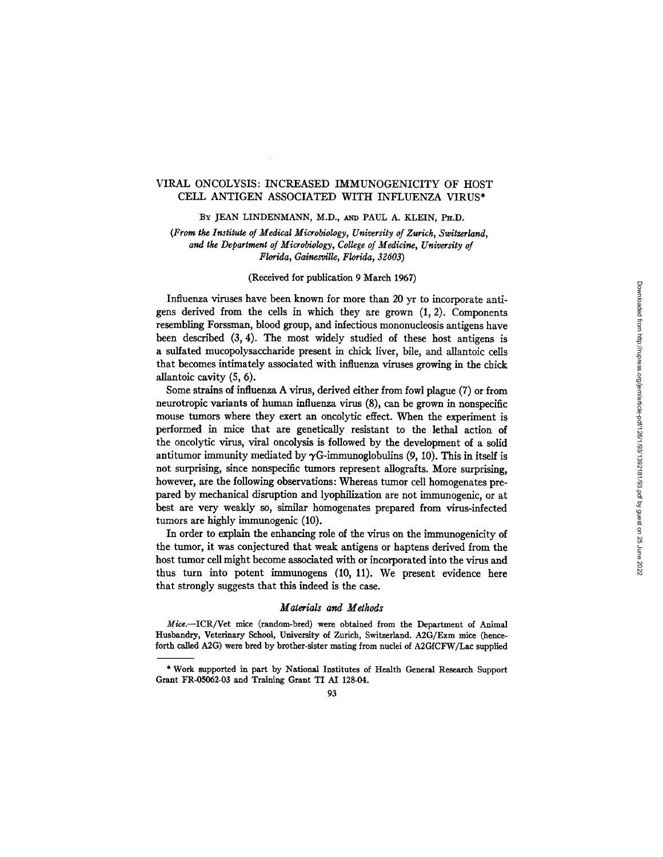# VIRAL ONCOLYSIS: INCREASED IMMUNOGENICITY OF HOST CELL ANTIGEN ASSOCIATED WITH INFLUENZA VIRUS\*

BY JEAN LINDENMANN, M.D., AND PAUL A. KLEIN, PH.D.

*(From the Institute of Medical Microbiology, University of Zurich, Swilzerland, and the Department of Microbiology, College of Medicine, University of Florida, Gainesville, Florida, 32603)* 

## (Received for publication 9 March 1967)

Influenza viruses have been known for more than 20 yr to incorporate antigens derived from the cells in which they are grown (1, 2). Components resembling Forssman, blood group, and infectious mononucleosis antigens have been described (3, 4). The most widely studied of these host antigens is a sulfated mucopolysaccharide present in chick liver, bile, and allantoic cells that becomes intimately associated with influenza viruses growing in the chick allantoic cavity (5, 6).

Some strains of influenza A virus, derived either from fowl plague (7) or from neurotropic variants of human influenza virus (8), can be grown in nonspecific mouse tumors where they exert an oncolytic effect. When the experiment is performed in mice that are genetically resistant to the lethal action of the oncolytic virus, viral oncolysis is followed by the development of a solid antitumor immunity mediated by  $\gamma$ G-immunoglobulins (9, 10). This in itself is not surprising, since nonspecific tumors represent allografts. More surprising, however, are the following observations: Whereas tumor cell homogenates prepared by mechanical disruption and lyophllization are not immunogenic, or at best are very weakly so, similar homogenates prepared from virus-infected tumors are highly immunogenic (10).

In order to explain the enhancing role of the virus on the immunogenicity of the tumor, it was conjectured that weak antigens or haptens derived from the host tumor cell might become associated with or incorporated into the virus and thus turn into potent immunogens (10, 11). We present evidence here that strongly suggests that this indeed is the case.

#### *Materials and Methods*

*Mice.--ICR/Vet* mice (random-bred) were obtained from the Department of Animal Husbandry, Veterinary School, University of Zurich, Switzerland. A2G/Exm mice (henceforth called A2G) were bred by brother-sister mating from nuclei of A2GICFW/Lae supplied

<sup>\*</sup> Work supported in part by National Institutes of Health General Research Support Grant FR-05062-03 and Training Grant TI AI 128-04.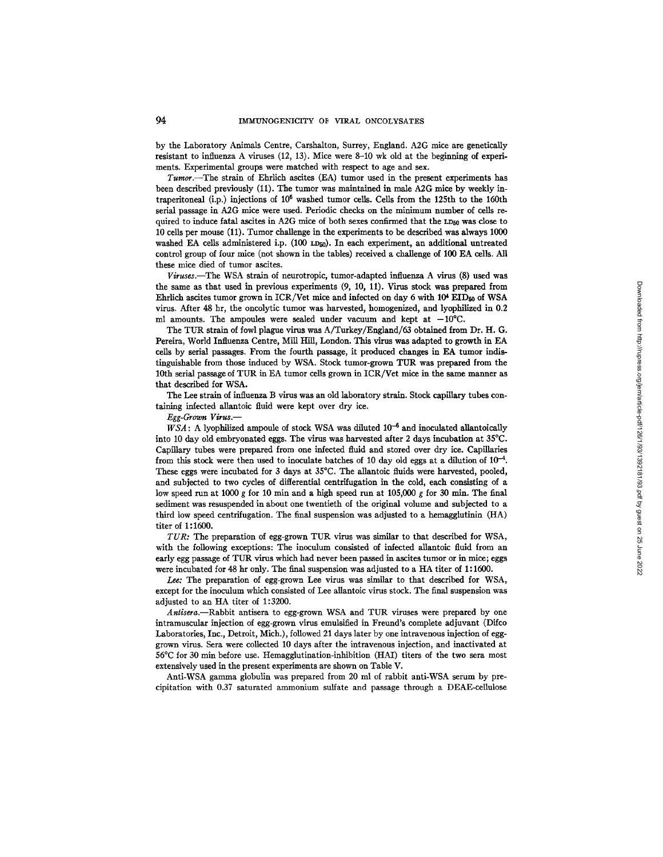by the Laboratory Animals Centre, Carshalton, Surrey, England. A2G mice are genetically resistant to influenza A viruses (12, 13). Mice were 8-10 wk old at the beginning of experiments. Experimental groups were matched with respect to age and sex.

*Tumor.--The* strain of Ehrlich ascites (EA) tumor used in the present experiments has been described previously (11). The tumor was maintained in male A2G mice by weekly intraperitoneal (i.p.) injections of 106 washed tumor cells. Cells from the 125th to the 160th serial passage in A2G mice were used. Periodic checks on the minimum number of cells required to induce fatal ascites in A2G mice of both sexes confirmed that the  $LD_{50}$  was close to 10 cells per mouse (11). Tumor challenge in the experiments to be described was always 1000 washed EA cells administered i.p.  $(100 \text{ LD}_{50})$ . In each experiment, an additional untreated control group of four mice (not shown in the tables) received a challenge of 100 EA cells. All these mice died of tumor ascites.

*Viruses.--The* WSA strain of neurotropic, tumor-adapted influenza A virus (8) used was the same as that used in previous experiments (9, 10, 11). Virus stock was prepared from Ehrlich ascites tumor grown in  $ICR/Vet$  mice and infected on day 6 with  $10<sup>4</sup> EID<sub>60</sub>$  of WSA virus. After 48 hr, the oncolytic tumor was harvested, homogenized, and lyophilized in 0.2 ml amounts. The ampoules were sealed under vacuum and kept at  $-10^{\circ}$ C.

The TUR strain of fowl plague virus was A/Turkey/Engiand/63 obtained from Dr. H. G. Pereira, World Influenza Centre, Mill Hill, London. This virus was adapted to growth in EA cells by serial passages. From the fourth passage, it produced changes in EA tumor indistinguishable from those induced by WSA. Stock tumor-grown TUR was prepared from the 10th serial passage of TUR in EA tumor cells grown in ICR/Vet mice in the same manner as that described for WSA.

The Lee strain of influenza B virus was an old laboratory strain. Stock capillary tubes containing infected allantoic fluid were kept over dry ice.

*Egg-Grou~ Virus.--* 

 $WSA$ : A lyophilized ampoule of stock WSA was diluted  $10^{-6}$  and inoculated allantoically into 10 day old embryonated eggs. The virus was harvested after 2 days incubation at 35°C. Capillary tubes were prepared from one infected fluid and stored over dry ice. Capillaries from this stock were then used to inoculate batches of 10 day old eggs at a dilution of  $10^{-4}$ . These eggs were incubated for 3 days at 35°C. The allantoic fluids were harvested, pooled, and subjected to two cycles of differential centrifugation in the cold, each consisting of a low speed run at 1000 g for 10 min and a high speed run at 105,000 g for 30 min. The final sediment was resuspended in about one twentieth of the original volume and subjected to a third low speed centrifugation. The final suspension was adjusted to a hemagglutinin (HA) titer of 1:1600.

*TUR:* The preparation of egg-grown TUR virus was similar to that described for WSA, with the following exceptions: The inoculum consisted of infected allantoic fluid from an early egg passage of TUR virus which had never been passed in ascites tumor or in mice; eggs were incubated for 48 hr only. The final suspension was adjusted to a HA titer of 1:1600.

*Lee:* The preparation of egg-grown Lee virus was similar to that described for WSA, except for the inoculum which consisted of Lee aUantoic virus stock. The final suspension was adjusted to an HA titer of 1:3200.

*Antisera.--Rabbit* antisera to egg-grown WSA and TUR viruses were prepared by one intramuscular injection of egg-grown virus emulsified in Freund's complete adjuvant (Difco Laboratories, Inc., Detroit, Mich.), followed 21 days later by one intravenous injection of egggrown virus. Sera were collected 10 days after the intravenous injection, and inactivated at 56°C for 30 min before use. Hemagglutination-inhibition (HAI) titers of the two sera most extensively used in the present experiments are shown on Table V.

Anti-WSA gamma globulin was prepared from 20 ml of rabbit anti-WSA serum by precipitation with 0.37 saturated ammonium sulfate and passage through a DEAE-cellulose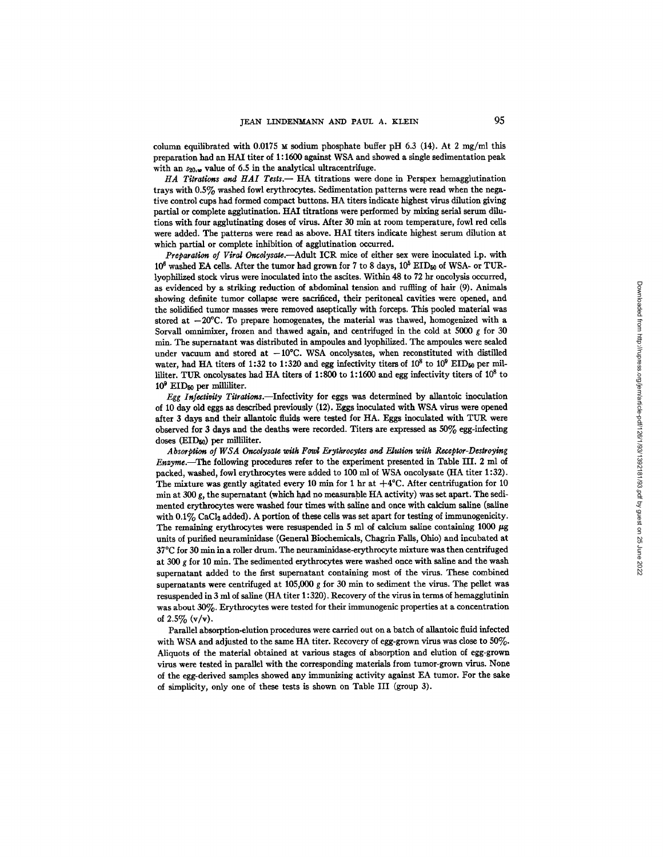column equilibrated with 0.0175  $\boldsymbol{\mu}$  sodium phosphate buffer pH 6.3 (14). At 2 mg/ml this preparation had an HAI titer of 1:1600 against WSA and showed a single sedimentation peak with an  $s_{20,\omega}$  value of 6.5 in the analytical ultracentrifuge.

HA Titrations and HAI Tests. - HA titrations were done in Perspex hemagglutination trays with 0.5% washed fowl erythrocytes. Sedimentation patterns were read when the negative control cups had formed compact buttons. HA titers indicate highest virus dilution giving partial or complete agglutination. HAI titrations were performed by mixing serial serum dilutions with four agglutinating doses of virus. After 30 min at room temperature, fowl red cells were added. The patterns were read as above. HAI titers indicate highest serum dilution at which partial or complete inhibition of agglutination occurred.

*Preparation of Viral Oncolysal~.--Adult* ICR mice of either sex were inoculated i.p. with  $10^6$  washed EA cells. After the tumor had grown for 7 to 8 days,  $10^5$  EID<sub>50</sub> of WSA- or TURlyophilized stock virus were inoculated into the ascites. Within 48 to 72 hr oncolysls occurred, as evidenced by a striking reduction of abdominal tension and ruffling of hair (9). Animals showing definite tumor collapse were sacrificed, their peritoneal cavities were opened, and the solidified tumor masses were removed aseptically with forceps. This pooled material was stored at  $-20^{\circ}$ C. To prepare homogenates, the material was thawed, homogenized with a Sorvall omnimixer, frozen and thawed again, and centrifuged in the cold at 5000 g for 30 min. The supernatant was distributed in ampoules and lyophilized. The ampoules were sealed under vacuum and stored at  $-10^{\circ}$ C. WSA oncolysates, when reconstituted with distilled water, had HA titers of 1:32 to 1:320 and egg infectivity titers of  $10^8$  to  $10^9$  EID<sub>50</sub> per milliliter. TUR oncolysates had HA titers of 1:800 to 1:1600 and egg infectivity titers of  $10^8$  to 109 EIDs0 per milliliter.

*Egg Infectivity Titrations.*—Infectivity for eggs was determined by allantoic inoculation of 10 day old eggs as described previously (12). Eggs inoculated with WSA virus were opened after 3 days and their allantoic fluids were tested for HA. Eggs inoculated with TUR were observed for 3 days and the deaths were recorded. Titers are expressed as 50% egg-infecting doses (EID<sub>50</sub>) per milliliter.

Absorption of WSA Oncolysate with Fowl Erythrocytes and Elution with Receptor-Destroying *Enzyme.--The* following procedures refer to the experiment presented in Table IIL 2 mi of packed, washed, fowl erythrocytes were added to 100 ml of WSA oncolysate (HA titer 1:32). The mixture was gently agitated every 10 min for 1 hr at  $+4^{\circ}$ C. After centrifugation for 10 min at 300 g, the supernatant (which had no measurable HA activity) was set apart. The sedimented erythrocytes were washed four times with saline and once with calcium saline (saline with 0.1% CaCl2 added). A portion of these cells was set apart for testing of immunogenicity. The remaining erythrocytes were resuspended in 5 ml of calcium saline containing 1000  $\mu$ g units of purified neuraminidase (General Biochemicals, Chagrin Falls, Ohio) and incubated at 37°C for 30 min in a roller drum. The neuraminidase-erythrocyte mixture was then centrifuged at 300 g for 10 min. The sedimented erythrocytes were washed once with saline and the wash supernatant added to the first supernatant containing most of the virus. These combined supematants were centrifuged at 105,000 g for 30 min to sediment the virus. The pellet was resuspended in 3 ml of saline (HA titer 1:320). Recovery of the virus in terms of hemagglutinin was about 30%. Erythrocytes were tested for their immunogenic properties at a concentration **of 2.5% (v/v).** 

Parallel absorption-elution procedures were carried out on a batch of allantoic fluid infected with WSA and adjusted to the same HA titer. Recovery of egg-grown virus was close to 50%. Aliquots of the material obtained at various stages of absorption and elution of egg-grown virus were tested in parallel with the corresponding materials from tumor-grown virus. None of the egg-derived samples showed any immunizing activity against EA tumor. For the sake of simplicity, only one of these tests is shown on Table III (group 3).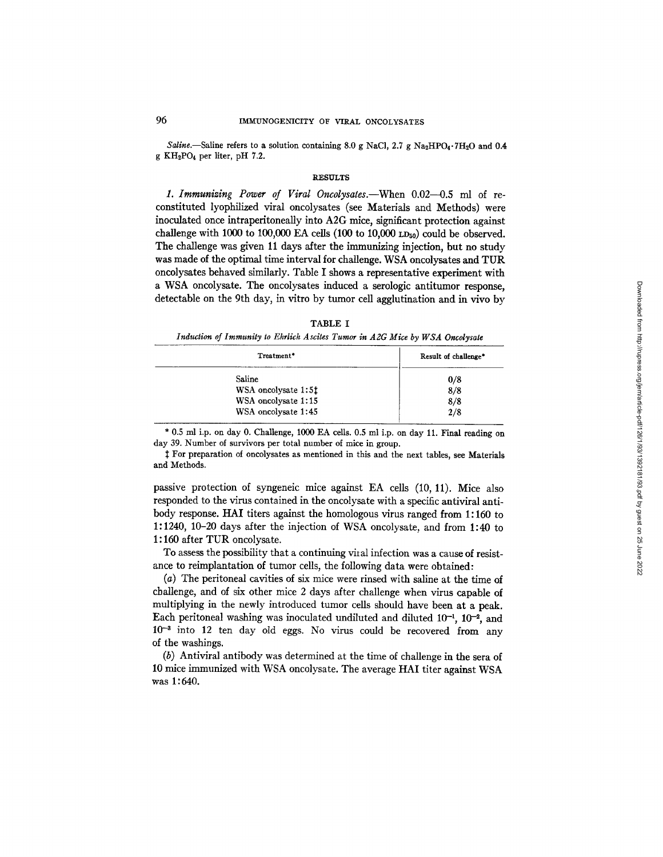*Saline.*—Saline refers to a solution containing 8.0 g NaCl, 2.7 g Na<sub>2</sub>HPO<sub>4</sub>.7H<sub>2</sub>O and 0.4 g KH2PO4 per liter, pH 7.2.

### **RESULTS**

1. Immunizing Power of Viral Oncolysates.—When 0.02—0.5 ml of reconstituted lyophllized viral oncolysates (see Materials and Methods) were inoculated once intraperitoneally into A2G mice, significant protection against challenge with 1000 to 100,000 EA cells (100 to 10,000  $LD_{50}$ ) could be observed. The challenge was given 11 days after the immunizing injection, but no study was made of the optimal time interval for challenge. WSA oncolysates and TUR oncolysates behaved similarly. Table I shows a representative experiment with a WSA oncolysate. The oncolysates induced a serologic antitumor response, detectable on the 9th day, in vitro by tumor cell agglutination and in vivo by

| . .<br>ı |  |
|----------|--|
|----------|--|

| Induction of Immunity to Ehrlich Ascites Tumor in A2G Mice by WSA Oncolysate |  |
|------------------------------------------------------------------------------|--|
|------------------------------------------------------------------------------|--|

| Treatment*          | Result of challenge* |
|---------------------|----------------------|
| Saline              | 0/8                  |
| WSA oncolysate 1:51 | 8/8                  |
| WSA oncolysate 1:15 | 8/8                  |
| WSA oncolysate 1:45 | 2/8                  |

\* 0.5 ml i.p. on day 0. Challenge, 1000 EA cells. 0.5 ml i.p. on day 11. Final reading on day 39. Number of survivors per total number of mice in group.

For preparation of oncolysates as mentioned in this and the next tables, see Materials and Methods.

passive protection of syngeneic mice against EA cells (10, 11). Mice also responded to the virus contained in the oncolysate with a specific antiviral antibody response. HAI titers against the homologous virus ranged from 1:160 to 1:1240, 10-20 days after the injection of WSA oncolysate, and from 1:40 to 1 : 160 after TUR oncolysate.

To assess the possibility that a continuing viral infection was a cause of resistance to reimplantation of tumor cells, the following data were obtained:

(a) The peritoneal cavities of six mice were rinsed with saline at the time of cbailenge, and of six other mice 2 days after challenge when virus capable of multiplying in the newly introduced tumor cells should have been at a peak. Each peritoneal washing was inoculated undiluted and diluted  $10^{-1}$ ,  $10^{-2}$ , and  $10^{-3}$  into 12 ten day old eggs. No virus could be recovered from any of the washings.

(b) Antiviral antibody was determined at the time of challenge in the sera of 10 mice immunized with WSA oncolysate. The average HAI titer against WSA was 1:640.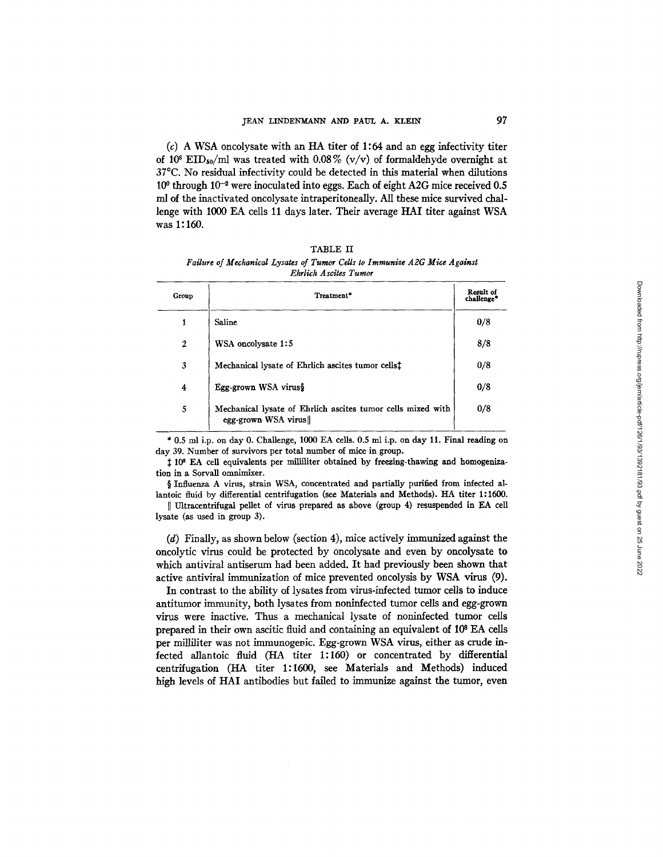$(c)$  A WSA oncolvsate with an HA titer of 1:64 and an egg infectivity titer of 10<sup>8</sup> EID<sub>50</sub>/ml was treated with 0.08% (v/v) of formaldehyde overnight at 37°C. No residual infectivity could be detected in this material when dilutions  $10^{\circ}$  through  $10^{-2}$  were inoculated into eggs. Each of eight A2G mice received 0.5 ml of the inactivated oncolysate intraperitoneally. All these mice survived challenge with 1000 EA cells 11 days later. Their average HAI titer against WSA was 1:160.

|                       |                                                                           |  | TABLE II |  |  |  |  |
|-----------------------|---------------------------------------------------------------------------|--|----------|--|--|--|--|
|                       | Failure of Mechanical Lysates of Tumor Cells to Immunize A2G Mice Against |  |          |  |  |  |  |
| Ehrlich Ascites Tumor |                                                                           |  |          |  |  |  |  |

| Group            | Treatment*                                                                         | Result of<br>challenge* |
|------------------|------------------------------------------------------------------------------------|-------------------------|
| 1                | Saline                                                                             | 0/8                     |
| $\boldsymbol{2}$ | WSA oncolysate 1:5                                                                 | 8/8                     |
| 3                | Mechanical lysate of Ehrlich ascites tumor cells <sup>†</sup>                      | 0/8                     |
| 4                | Egg-grown WSA virus§                                                               | 0/8                     |
| 5                | Mechanical lysate of Ehrlich ascites tumor cells mixed with<br>egg-grown WSA virus | 0/8                     |

\* 0.5 ml i.p. on day 0. Challenge, I000 EA cells. 0.5 ml i.p. on day 11. Final reading on day 39. Number of survivors per total number of mice in group.

 $\ddagger$  10<sup>8</sup> EA cell equivalents per milliliter obtained by freezing-thawing and homogenization in a Sorvall omnimixer.

§ Influenza A virus, strain WSA, concentrated and partially purified from infected allantoic fluid by differential centrifugation (see Materials and Methods). HA titer 1:1600.

I] Ultracentrifugal pellet of virus prepared as above (group 4) resuspended in EA ceil lysate (as used in group 3).

(d) Finally, as shown below (section 4), mice actively immunized against the oncolytic virus could be protected by oncolysate and even by oncolysate to which antiviral antiserum had been added. It had previously been shown that active antiviral immunization of mice prevented oncolysis by WSA virus (9).

In contrast to the ability of lysates from virus-infected tumor cells to induce antitumor immunity, both lysates from noninfected tumor cells and egg-grown virus were inactive. Thus a mechanical lysate of noninfected tumor cells prepared in their own ascitic fluid and containing an equivalent of  $10<sup>8</sup>$  EA cells per milliliter was not immunogenic. Egg-grown WSA virus, either as crude infected allantoic fluid (HA titer 1:160) or concentrated by differential centrifugation (HA titer 1:1600, see Materials and Methods) induced high levels of HA1 antibodies but failed to immunize against the tumor, even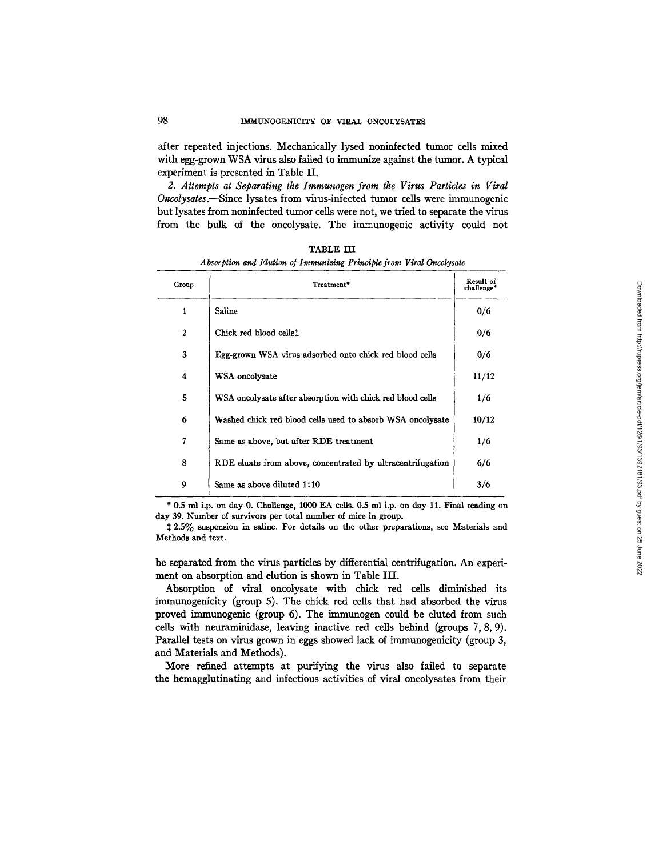after repeated injections. Mechanically lysed noninfected tumor cells mixed with egg-grown WSA virus also failed to immunize against the tumor. A typical experiment is presented in Table II.

*2. Attempts at Separating the Immunogen from the Virus Particles in Viral Oncolysates.--Since* lysates from virus-infected tumor cells were immunogenic but lysates from noninfected tumor cells were not, we tried to separate the virus from the bulk of the oncolysate. The immunogenic activity could not

| Group            | Treatment*                                                 | Result of<br>challenge* |
|------------------|------------------------------------------------------------|-------------------------|
| 1                | Saline                                                     | 0/6                     |
| $\mathbf{2}$     | Chick red blood cells!                                     | 0/6                     |
| 3                | Egg-grown WSA virus adsorbed onto chick red blood cells    | 0/6                     |
| $\boldsymbol{4}$ | WSA oncolysate                                             | 11/12                   |
| 5                | WSA oncolysate after absorption with chick red blood cells | 1/6                     |
| 6                | Washed chick red blood cells used to absorb WSA oncolysate | 10/12                   |
| 7                | Same as above, but after RDE treatment                     | 1/6                     |
| 8                | RDE eluate from above, concentrated by ultracentrifugation | 6/6                     |
| 9                | Same as above diluted 1:10                                 | 3/6                     |

TABLE III *Absorption and Elution of Immunizing Principle from Viral Oncolysate* 

\* 0.5 ml i.p. on day 0. Challenge, 1000 EA cells. 0.5 ml i.p. on day 11. Final reading on day 39. Number of survivors per total number of mice in group.

2.5% suspension in saline. For details on the other preparations, see Materials and Methods and text.

be separated from the virus particles by differential centrifugation. An experiment on absorption and elution is shown in Table III.

Absorption of viral oncolysate with chick red cells diminished its immunogenicity (group 5). The chick red ceils that had absorbed the virus proved immunogenic (group 6). The immunogen could be eluted from such ceils with neuraminidase, leaving inactive red cells behind (groups 7, 8, 9). Parallel tests on virus grown in eggs showed lack of immunogenicity (group 3, and Materials and Methods).

More refined attempts at purifying the virus also failed to separate the hemagglutinating and infectious activities of viral oncolysates from their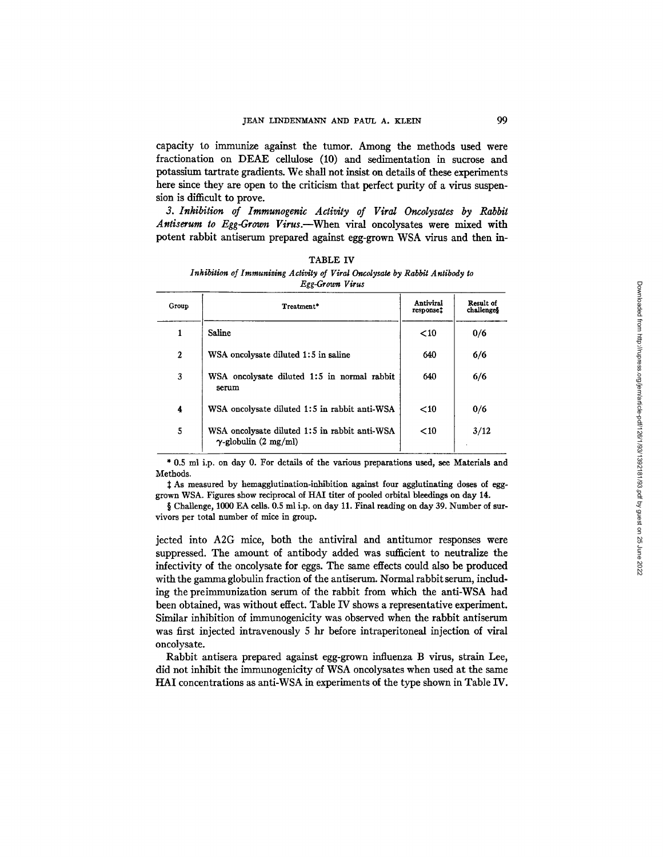capacity to immunize against the tumor. Among the methods used were fractionation on DEAE cellulose (10) and sedimentation in sucrose and potassium tartrate gradients. We shall not insist on details of these experiments here since they are open to the criticism that perfect purity of a virus suspension is difficult to prove.

3. Inhibition of Immunogenic Activity of Viral Oncolysates by Rabbit *Antiserum to Egg-Grovm Virus.--When* viral oncolysates were mixed with potent rabbit antiserum prepared against egg-grown WSA virus and then in-

|                  | - 55 - 70 - 70 - 70                                                           |                                    |                         |
|------------------|-------------------------------------------------------------------------------|------------------------------------|-------------------------|
| Group            | Treatment*                                                                    | Antiviral<br>response <sup>†</sup> | Result of<br>challenges |
| 1                | Saline                                                                        | $<$ 10                             | 0/6                     |
| $\boldsymbol{2}$ | WSA oncolysate diluted 1:5 in saline                                          | 640                                | 6/6                     |
| 3                | WSA oncolysate diluted 1:5 in normal rabbit<br>serum                          | 640                                | 6/6                     |
| 4                | WSA oncolysate diluted 1:5 in rabbit anti-WSA                                 | $<$ 10                             | 0/6                     |
| 5                | WSA oncolysate diluted 1:5 in rabbit anti-WSA<br>$\gamma$ -globulin (2 mg/ml) | $<$ 10                             | 3/12                    |

*Inhibition of Immunizing Activity of Viral Oncolysate by Rabbit Antibody to Egg-Grown Virus* 

TABLE IV

\* 0.5 ml i.p. on day 0. For details of the various preparations used, see Materials and Methods.

~: As measured by hemagglutination-inhibition against four agglutinating doses of egggrown WSA. Figures show reciprocal of HA1 titer of pooled orbital bleedings on day 14.

§ Challenge, 1000 EA cells. 0.5 ml i.p. on day 11. Final reading on day 39. Number of survivors per total number of mice in group.

jected into A2G mice, both the antiviral and antitumor responses were suppressed. The amount of antibody added was sufficient to neutralize the infectivity of the oncolysate for eggs. The same effects could also be produced with the gamma globulin fraction of the antiserum. Normal rabbit serum, including the preimmunization serum of the rabbit from which the anti-WSA had been obtained, was without effect. Table IV shows a representative experiment. Similar inhibition of immunogenicity was observed when the rabbit antiserum was first injected intravenously 5 hr before intraperitoneal injection of viral oncolysate.

Rabbit antisera prepared against egg-grown influenza B virus, strain Lee, did not inhibit the immunogenicity of WSA oncolysates when used at the same HAI concentrations as anti-WSA in experiments of the type shown in Table IV.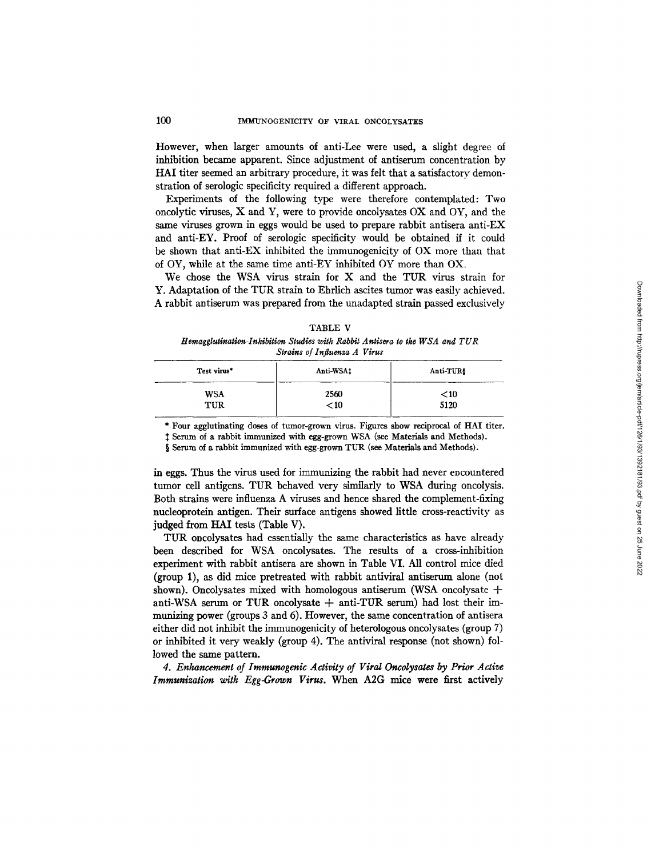## 100 IMMUNOGENICITY OF VIRAL ONCOLYSATES

However, when larger amounts of anti-Lee were used, a slight degree of inhibition became apparent. Since adjustment of antiserum concentration by HAI titer seemed an arbitrary procedure, it was felt that a satisfactory demonstration of serologic specificity required a different approach.

Experiments of the following type were therefore contemplated: Two oncolytic viruses,  $X$  and  $Y$ , were to provide oncolysates  $OX$  and  $OY$ , and the same viruses grown in eggs would be used to prepare rabbit antisera anti-EX and anti-EY. Proof of serologic specificity would be obtained if it could be shown that anti-EX inhibited the immunogenicity of OX more than that of OY, while at the same time anti-EY inhibited OY more than OX.

We chose the WSA virus strain for X and the TUR virus strain for Y. Adaptation of the TUR strain to Ehrlich ascites tumor was easily achieved. A rabbit antiserum was prepared from the unadapted strain passed exclusively

TABLE V *Hemagglutination-Inhibition Studies with Rabbit Antieera to the WSA and TUR Strains of Influenza A Virus* 

| Test virus* | Anti-WSA1 | Anti-TUR\$ |
|-------------|-----------|------------|
| <b>WSA</b>  | 2560      | $<$ 10     |
| <b>TUR</b>  | $<$ 10    | 5120       |

\* Four agglutinating doses of tumor-grown virus. Figures show reciprocal of HAI titer.

Serum of a rabbit immunized with egg-grown WSA (see Materials and Methods).

§ Serum of a rabbit immunized with egg-grown TUR (see Materials and Methods).

in eggs. Thus the virus used for immunizing the rabbit had never encountered tumor cell antigens. TUR behaved very similarly to WSA during oncolysis. Both strains were influenza A viruses and hence shared the complement-fixing nucleoprotein antigen. Their surface antigens showed little cross-reactivity as judged from HAI tests (Table V).

TUR oncolysates had essentially the same characteristics as have already been described for WSA oncolysates. The results of a cross-inhibition experiment with rabbit antisera are shown in Table VI. All control mice died (group 1), as did mice pretreated with rabbit antiviral antiserum alone (not shown). Oncolysates mixed with homologous antiserum (WSA oncolysate + anti-WSA serum or TUR oncolysate  $+$  anti-TUR serum) had lost their immunizing power (groups  $3$  and  $6$ ). However, the same concentration of antisera either did not inhibit the immunogenicity of heterologous oncolysates (group 7) or inhibited it very weakly (group 4). The antiviral response (not shown) followed the same pattern.

*4. Enhancement of Imraunogenic Activity of Viral Oncolysates by Prior Active Immunization with Egg-Crown Virus.* When A2G mice were first actively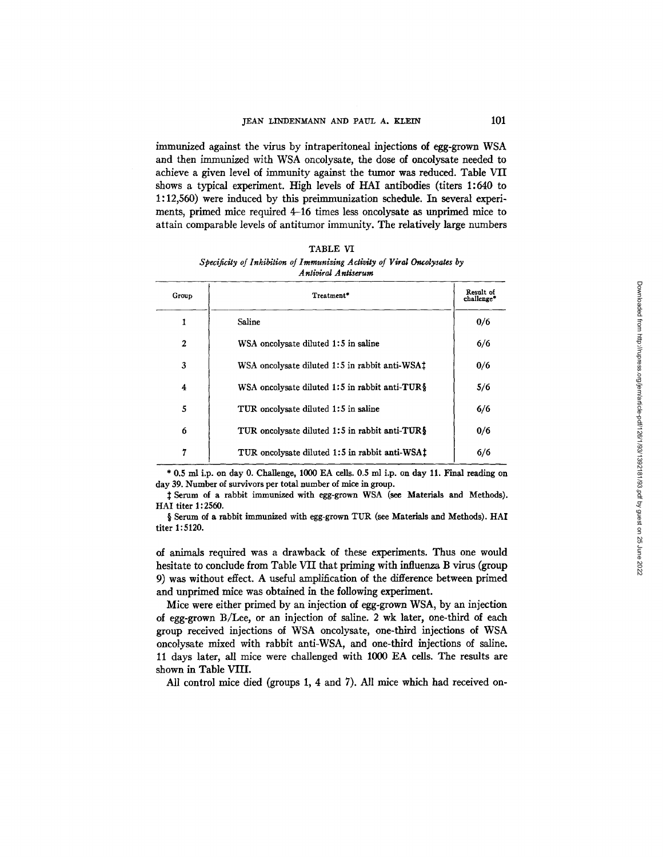immunized against the virus by intraperitoneal injections of egg-grown WSA and then immunized with WSA oncolysate, the dose of oncolysate needed to achieve a given level of immunity against the tumor was reduced. Table VII shows a typical experiment. High levels of HAI antibodies (titers 1:640 to 1:12,560) were induced by this preimmunization schedule. In several experiments, primed mice required 4-16 times less oncolysate as unprimed mice to attain comparable levels of antitumor immunity. The relatively large numbers

| TABLE VI                                                                                        |  |
|-------------------------------------------------------------------------------------------------|--|
| Specificity of Inhibition of Immunizing Activity of Viral Oncolysates by<br>Antiviral Antiserum |  |

| Group        | Treatment*                                         | Result of<br>challenge* |
|--------------|----------------------------------------------------|-------------------------|
| 1            | Saline                                             | 0/6                     |
| $\mathbf{2}$ | WSA oncolvsate diluted 1:5 in saline               | 6/6                     |
| 3            | WSA oncolysate diluted 1:5 in rabbit anti-WSA1     | 0/6                     |
| 4            | WSA oncolysate diluted 1:5 in rabbit anti-TUR $\S$ | 5/6                     |
| 5            | TUR oncolysate diluted 1:5 in saline               | 6/6                     |
| 6            | TUR oncolvsate diluted 1:5 in rabbit anti-TUR\$    | 0/6                     |
| 7            | TUR oncolysate diluted 1:5 in rabbit anti-WSA1     | 6/6                     |

\* 0.5 ml i.p. on day 0. Challenge, 1000 EA cells. 0.5 ml i.p. on day 11. Final reading on day 39. Number of survivors per total number of mice in group.

~: Serum of a rabbit immunized with egg-grown WSA (see Materials and Methods). HAI titer 1: 2560.

§ Serum of a rabbit immunized with egg-grown TUR (see Materials and Methods). HAI titer 1:5120.

of animals required was a drawback of these experiments. Thus one would hesitate to conclude from Table VII that priming with influenza B virus (group 9) was without effect. A useful amplification of the difference between primed and unprimed mice was obtained in the following experiment.

Mice were either primed by an injection of egg-grown WSA, by an injection of egg-grown B/Lee, or an injection of saline. 2 wk later, one-third of each group received injections of WSA oncolysate, one-third injections of WSA oncolysate mixed with rabbit anti-WSA, and one-third injections of saline. II days later, all mice were challenged with I000 EA cells. The results are shown in Table VIII.

All control mice died (groups I, 4 and 7). All mice which had received on-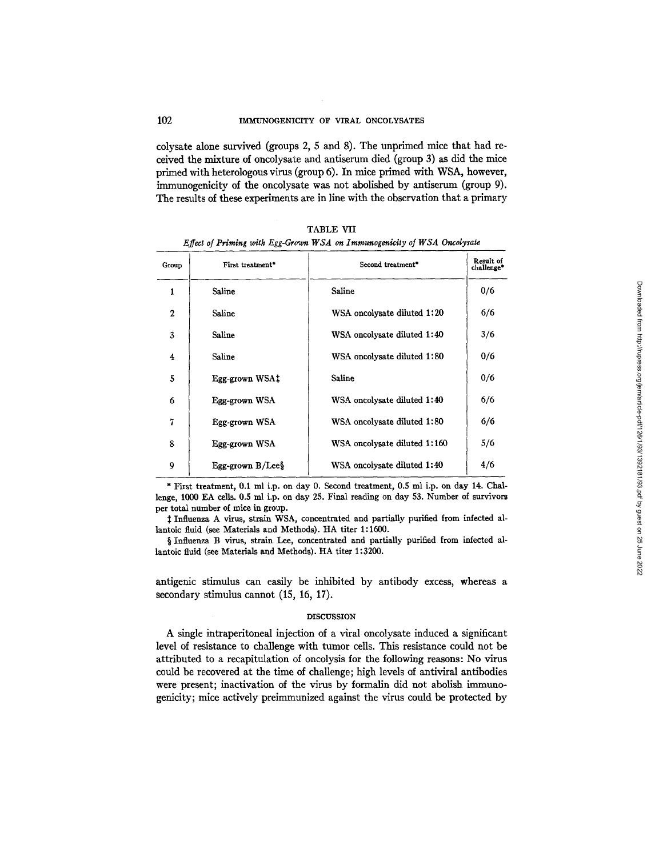colysate alone survived (groups 2, 5 and 8). The unprimed mice that had received the mixture of oncolysate and antiserum died (group 3) as did the mice primed with heterologous virus (group 6). In mice primed with WSA, however, immunogenicity of the oncolysate was not abolished by antiserum (group 9). The results of these experiments are in line with the observation that a primary

| Group       | First treatment <sup>*</sup> | Second treatment*            | Result of<br>challenge* |
|-------------|------------------------------|------------------------------|-------------------------|
| 1           | Saline                       | Saline                       | 0/6                     |
| $\mathbf 2$ | Saline                       | WSA oncolysate diluted 1:20  | 6/6                     |
| 3           | Saline                       | WSA oncolysate diluted 1:40  | 3/6                     |
| 4           | Saline                       | WSA oncolysate diluted 1:80  | 0/6                     |
| 5           | Egg-grown WSA‡               | Saline                       | 0/6                     |
| 6           | Egg-grown WSA                | WSA oncolvsate diluted 1:40  | 6/6                     |
| 7           | Egg-grown WSA                | WSA oncolysate diluted 1:80  | 6/6                     |
| 8           | Egg-grown WSA                | WSA oncolysate diluted 1:160 | 5/6                     |
| 9           | Egg-grown $B/Lee$            | WSA oncolysate diluted 1:40  | 4/6                     |

TABLE VII *Effect of Priming with Egg-Grown WSA on Immunogenicity of WSA Oncolysate* 

\* First treatment, 0.1 ml i.p. on day 0. Second treatment, 0.5 ml i.p. on day 14. Challenge, 1000 EA cells. 0.5 ml i.p. on day 25. Final reading on day 53. Number of survivors per total number of mice in group.

 $\ddagger$  Influenza A virus, strain WSA, concentrated and partially purified from infected allantoic fluid (see Materials and Methods). HA titer 1:1600.

§ Influenza B virus, strain Lee, concentrated and partially purified from infected allantoic fluid (see Materials and Methods). HA titer 1:3200.

antigenic stimulus can easily be inhibited by antibody excess, whereas a secondary stimulus cannot  $(15, 16, 17)$ .

#### DISCUSSION

A single intraperitoneal injection of a viral oncolysate induced a significant level of resistance to challenge with tumor cells. This resistance could not be attributed to a recapitulation of oncolysis for the following reasons: No virus could be recovered at the time of challenge; high levels of antiviral antibodies were present; inactivation of the virus by formalin did not abolish immunogenicity; mice actively preimmunized against the virus could be protected by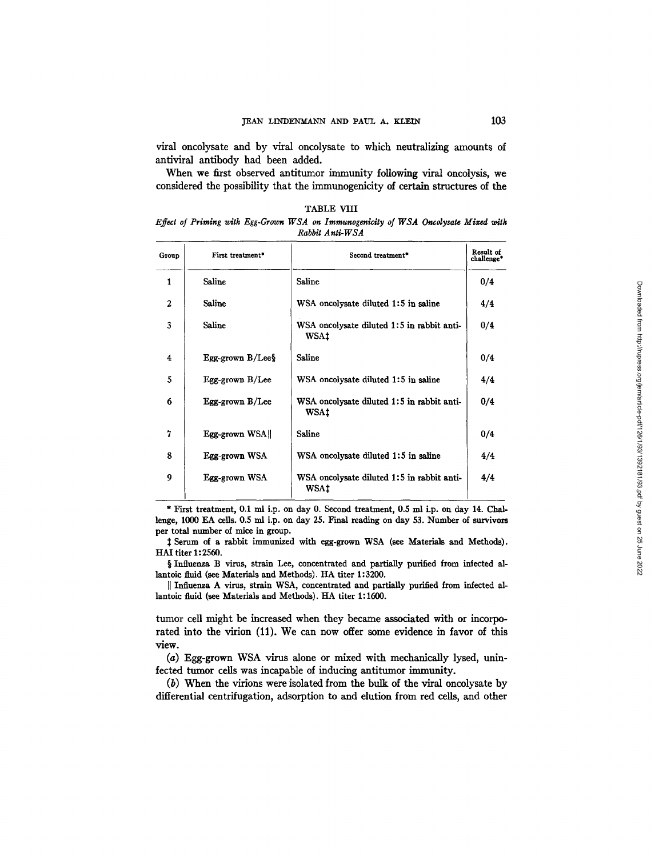viral oncolysate and by viral oncolysate to which neutralizing amounts of antiviral antibody had been added.

When we first observed antitumor immunity following viral oncolysis, we considered the possibility that the immunogenicity d certain structures of the

| TABLE VIII                                                                          |  |                 |  |  |  |  |
|-------------------------------------------------------------------------------------|--|-----------------|--|--|--|--|
| Effect of Priming with Egg-Grown WSA on Immunogenicity of WSA Oncolysate Mixed with |  | Rabbit Anti-WSA |  |  |  |  |

| Group        | First treatment*    | Second treatment*                                         | Result of<br>challenge* |
|--------------|---------------------|-----------------------------------------------------------|-------------------------|
| 1            | Saline              | Saline                                                    | 0/4                     |
| $\mathbf{2}$ | Saline              | WSA oncolysate diluted 1:5 in saline                      | 4/4                     |
| 3            | Saline              | WSA oncolysate diluted 1:5 in rabbit anti-<br><b>WSAt</b> | 0/4                     |
| 4            | Egg-grown $B/Lee$ § | Saline                                                    | 0/4                     |
| 5            | Egg-grown B/Lee     | WSA oncolysate diluted 1:5 in saline                      | 4/4                     |
| 6            | Egg-grown B/Lee     | WSA oncolysate diluted 1:5 in rabbit anti-<br><b>WSAt</b> | 0/4                     |
| 7            | Egg-grown WSA       | Saline                                                    | 0/4                     |
| 8            | Egg-grown WSA       | WSA oncolysate diluted 1:5 in saline                      | 4/4                     |
| 9            | Egg-grown WSA       | WSA oncolysate diluted 1:5 in rabbit anti-<br>WSA‡        | 4/4                     |

\* First treatment, 0.1 ml i.p. on day 0. Second treatment, 0.5 ml i.p. on day 14. Challenge, 1000 EA ceils. 0.5 ml i.p. on day 25. Final reading on day 53. Number of survivors per total number of mice in group.

Serum of a rabbit immunized with egg-grown WSA (see Materials and Methods). HAI titer 1: 2560.

§ Influenza B virus, strain Lee, concentrated and partially purified from infected allantoic fluid (see Materials and Methods). HA titer 1:3200.

]] Influenza A virus, strain WSA, concentrated and partially purified from infected allantoic fluid (see Materials and Methods). HA titer 1:1600.

tumor cell might be increased when they became associated with or incorporated into the virion (11). We can now offer some evidence in favor of this view.

(a) Egg-grown WSA virus alone or mixed with mechanically lysed, uninfected tumor cells was incapable of inducing antitumor immunity.

(b) When the virions were isolated from the bulk of the viral oncolysate by differential centrifugation, adsorption to and elution from red cells, and other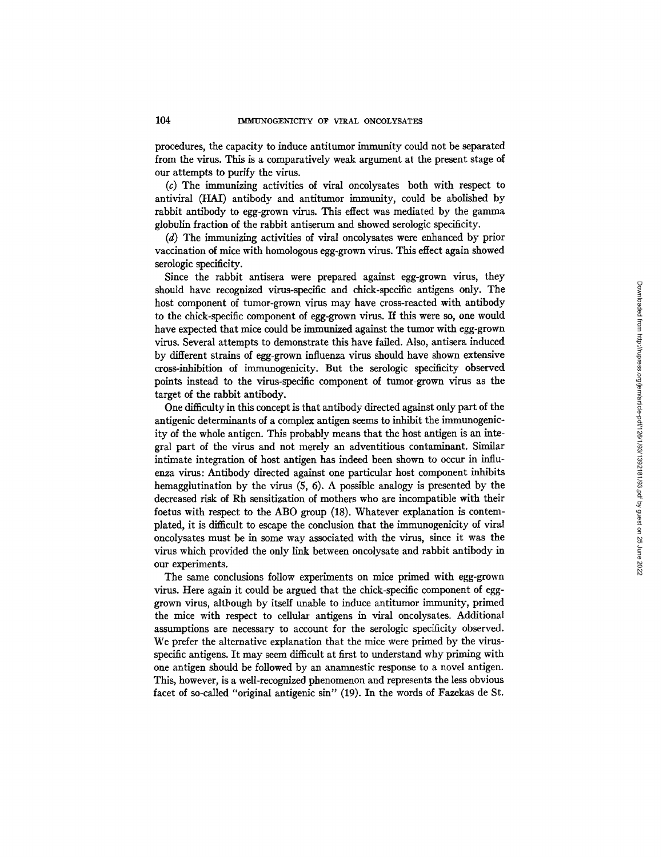procedures, the capacity to induce antitumor immunity could not be separated from the virus. This is a comparatively weak argument at the present stage of our attempts to purify the virus.

(c) The immunizing activities of viral oncolysates both with respect to antiviral (HA1) antibody and antitumor immunity, could be abolished by rabbit antibody to egg-grown virus. This effect was mediated by the gamma globulin fraction of the rabbit antiserum and showed serologic specificity.

(d) The immunizing activities of viral oncolysates were enhanced by prior vaccination of mice with homologous egg-grown virus. This effect again showed serologic specificity.

Since the rabbit antisera were prepared against egg-grown virus, they should have recognized virus-specific and chick-specific antigens only. The host component of tumor-grown virus may have cross-reacted with antibody to the chick-specific component of egg-grown virus. If this were so, one would have expected that mice could be immunized against the tumor with egg-grown virus. Several attempts to demonstrate this have failed. Also, antisera induced by different strains of egg-grown influenza virus should have shown extensive cross-inhibition of immunogenicity. But the serologic specificity observed points instead to the virus-specific component of tumor-grown virus as the target of the rabbit antibody.

One difficulty in this concept is that antibody directed against only part of the antigenic determinants of a complex antigen seems to inhibit the immunogenicity of the whole antigen. This probably means that the host antigen is an integral part of the virus and not merely an adventitious contaminant. Similar intimate integration of host antigen has indeed been shown to occur in influenza virus: Antibody directed against one particular host component inhibits hemagglutination by the virus (5, 6). A possible analogy is presented by the decreased risk of Rh sensitization of mothers who are incompatible with their foetus with respect to the ABO group (18). Whatever explanation is contemplated, it is difficult to escape the conclusion that the immunogenicity of viral oncolysates must be in some way associated with the virus, since it was the virus which provided the only link between oncolysate and rabbit antibody in our experiments.

The same conclusions follow experiments on mice primed with egg-grown virus. Here again it could be argued that the chick-specific component of egggrown virus, although by itself unable to induce antitumor immunity, primed the mice with respect to cellular antigens in viral oncolysates. Additional assumptions are necessary to account for the serologic specificity observed. We prefer the alternative explanation that the mice were primed by the virusspecific antigens. It may seem difficult at first to understand why priming with one antigen should be followed by an anamnestic response to a novel antigen. This, however, is a well-recognized phenomenon and represents the less obvious facet of so-called "original antigenic sin" (19). In the words of Fazekas de St.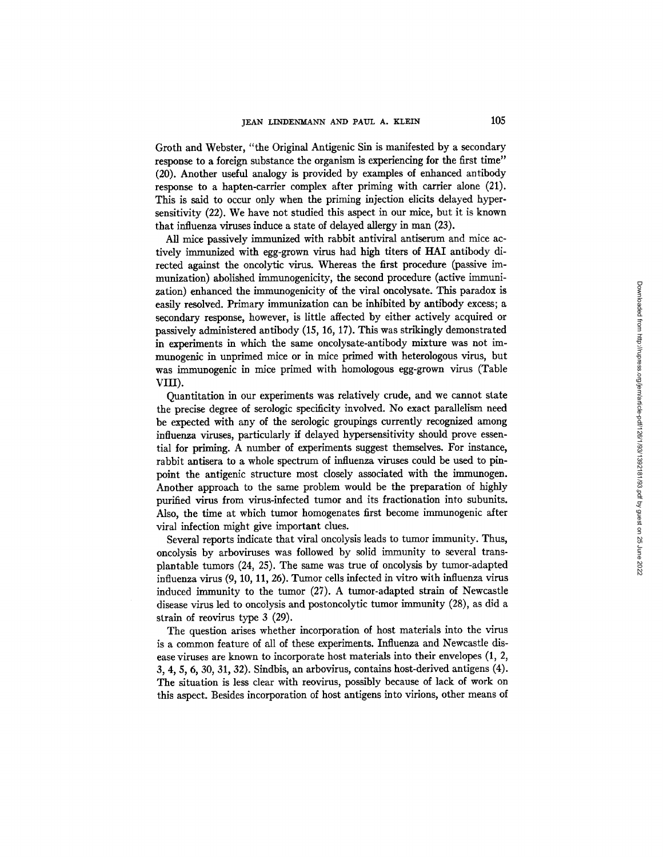Groth and Webster, *"the* Original Antigenic Sin is manifested by a secondary response to a foreign substance the organism is experiencing for the first time" (20). Another useful analogy is provided by examples of enhanced antibody response to a hapten-carrier complex after priming with carrier alone (21). This is said to occur only when the priming injection elicits delayed hypersensitivity (22). We have not studied this aspect in our mice, but it is known that influenza viruses induce a state of delayed allergy in man (23).

All mice passively immunized with rabbit antiviral antiserum and mice actively immunized with egg-grown virus had high titers of HAI antibody directed against the oncolytic virus. Whereas the first procedure (passive immunization) abolished immunogenicity, the second procedure (active immunization) enhanced the immunogenicity of the viral oncolysate. This paradox is easily resolved. Primary immunization can be inhibited by antibody excess; a secondary response, however, is little affected by either actively acquired or passively administered antibody (15, 16, 17). This was strikingly demonstrated in experiments in which the same oncolysate-antibody mixture was not immunogenlc in unprimed mice or in mice primed with heterologous virus, but was immunogenic in mice primed with homologous egg-grown virus (Table VIII).

Quantitation in our experiments was relatively crude, and we cannot state the precise degree of serologic specificity involved. No exact parallelism need be expected with any of the serologic groupings currently recognized among influenza viruses, particularly if delayed hypersensitivity should prove essential for priming. A number of experiments suggest themselves. For instance, rabbit antisera to a whole spectrum of influenza viruses could be used to pinpoint the antigenic structure most closely associated with the immunogen. Another approach to the same problem would be the preparation of highly purified virus from virus-infected tumor and its fractionation into subunits. Also, the time at which tumor homogenates first become immunogenic after viral infection might give important clues.

Several reports indicate that viral oncolysis leads to tumor immunity. Thus, oncolysis by arboviruses was followed by solid immunity to several transplantable tumors  $(24, 25)$ . The same was true of oncolysis by tumor-adapted influenza virus *(9,* I0, II, 26). Tumor cells infected in vitro with influenza virus induced immunity to the tumor (27). A tumor-adapted strain of Newcastle disease virus led to oncolysis and postoncolytic tumor immunity (28), as did a strain of reovirus type 3 (29).

The question arises whether incorporation of host materials into the virus is a common feature of all of these experiments. Influenza and Newcastle disease viruses are known to incorporate host materials into their envelopes (1, 2, 3, 4, *5, 6,* 30, 31, 32). Sindbis, an arbovirus, contains host-derived antigens (4). The situation is less clear with reovirus, possibly because of lack of work on this aspect. Besides incorporation of host antigens into virions, other means of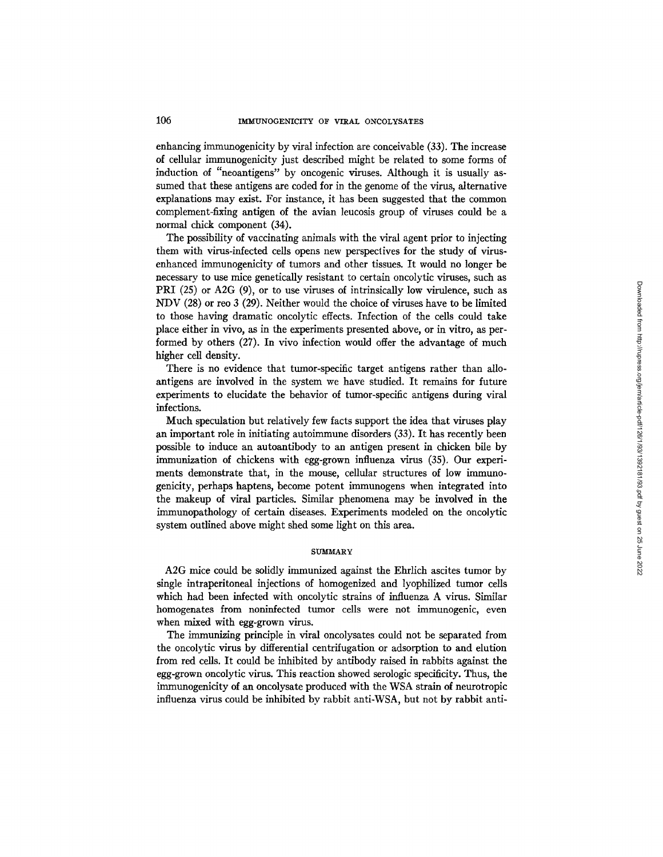enhancing immunogenicity by viral infection are conceivable (33). The increase of cellular immunogenicity just described might be related to some forms of induction of "neoantigens" by oncogenic viruses. Although it is usually assumed that these antigens are coded for in the genome of the virus, alternative explanations may exist. For instance, it has been suggested that the common complement-fixing antigen of the avian leucosis group of viruses could be a normal chick component (34).

The possibility of vaccinating animals with the viral agent prior to injecting them with virus-infected cells opens new perspectives for the study of virusenhanced immunogenicity of tumors and other tissues. It would no longer be necessary to use mice genetically resistant to certain oncolytic viruses, such as PRI (25) or A2G (9), or to use viruses of intrinsically low virulence, such as NDV (28) or reo 3 (29). Neither would the choice of viruses have to be limited to those having dramatic oncolytic effects. Infection of the cells could take place either in vivo, as in the experiments presented above, or in vitro, as performed by others (27). In vivo infection would offer the advantage of much higher cell density.

There is no evidence that tumor-specific target antigens rather than alloantigens are involved in the system we have studied. It remains for future experiments to elucidate the behavior of tumor-specific antigens during viral infections.

Much speculation but relatively few facts support the idea that viruses play an important role in initiating autoimmune disorders (33). It has recently been possible to induce an autoantibody to an antigen present in chicken bile by immunization of chickens with egg-grown influenza virus (35). Our experiments demonstrate that, in the mouse, cellular structures of low immunogenicity, perhaps haptens, become potent immunogens when integrated into the makeup of viral particles. Similar phenomena may be involved in the immunopathology of certain diseases. Experiments modeled on the oncolytic system outlined above might shed some light on this area.

### **SUMMARY**

A2G mice could be solidly immunized against the Ehrlich ascites tumor by single intraperitoneal injections of homogenized and lyophilized tumor cells which had been infected with oncolytic strains of influenza A virus. Similar homogenates from noninfected tumor cells were not immunogenic, even when mixed with egg-grown virus.

The immunizing principle in viral oncolysates could not be separated from the oncolytic virus by differential centrifugation or adsorption to and elution from red cells. It could be inhibited by antibody raised in rabbits against the egg-grown oncolytic virus. This reaction showed serologic specificity. Thus, the immunogenicity of an oncolysate produced with the WSA strain of neurotropic influenza virus could be inhibited by rabbit anti-WSA, but not by rabbit anti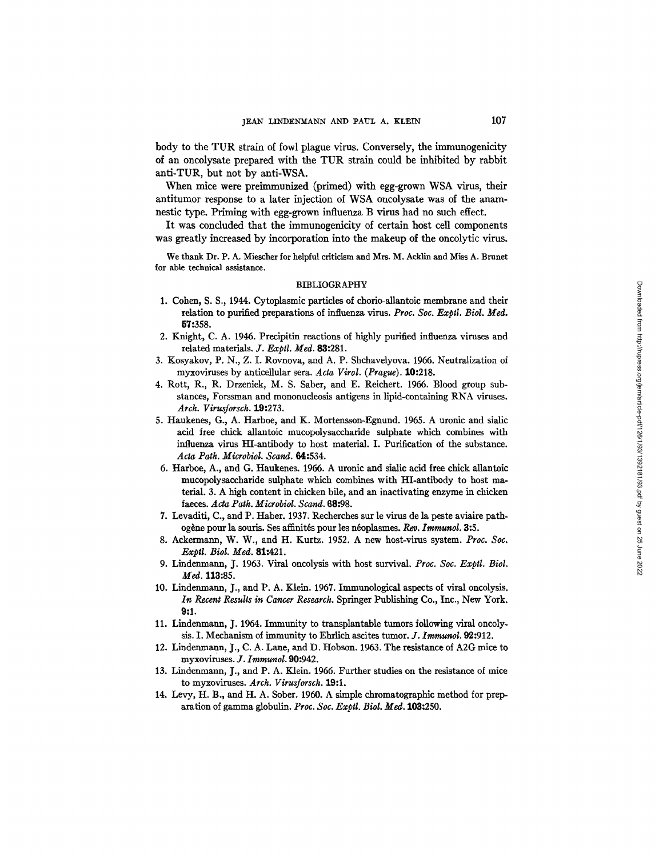body to the TUR strain of fowl plague virus. Conversely, the immunogenicity of an oncolysate prepared with the TUR strain could be inhibited by rabbit anti-TUR, but not by anti-WSA.

When mice were preimmunized (primed) with egg-grown WSA virus, their antitumor response to a later injection of WSA oncolysate was of the anamnestic type. Priming with egg-grown influenza B virus had no such effect.

It was concluded that the immunogenicity of certain host cell components was greatly increased by incorporation into the makeup of the oncolytic virus.

We thank Dr. P. A. Miescher for helpful criticism and Mrs. M. Acklin and Miss A. Brunet for able technical assistance.

### BIBLIOGRAPHY

- 1. Cohen, S. S., 1944. Cytoplasmic particles of chorio-allantoic membrane and their relation to purified preparations of influenza virus. *Proc. Soc. Exptl. Biol. Med.* 57:358.
- 2. Knight, C. A. 1946. Precipitin reactions of highly purified influenza viruses and related materials. *J. Exptl. Med.* 83:281.
- 3. Kosyakov, P. N., Z. I. Rovnova, and A. P. Shchavelyova. 1966. Neutralization of myxoviruses by anticeilular sera. *Acta Virol. (Prague).* 10:218.
- 4. Rott, R., R. Drzeniek, M. S. Saber, and E. Reichert. 1966. Blood group substances, Forssman and mononucleosis antigens in lipid-containing RNA viruses. *Arch. Virusforsch.* 19:273.
- S. Haukenes, G., A. Harboe, and K. Mortensson-Egnund. 1965. A uronic and sialic acid free chick allantoic mucopolysaccharide sulphate which combines with influenza virus HI-antibody to host material. I. Purification of the substance. *Aeta Path. Microbiol. Scand.* 64:534.
- 6. Harboe, A., and G. Haukenes. 1966. A uronic and sialic acid free chick allantoic mucopolysaccharide sulphate which combines with HI-antibody to host material. 3. A high content in chicken bile, and an inactivating enzyme in chicken faeces. *Acta Path. Microbiol. Scand.* 68:98.
- 7. Levaditi, C., and P. Haber. 1937. Recherches sur le virus de la peste aviaire pathogène pour la souris. Ses affinités pour les néoplasmes. Rev. *Immunol*. 3:5.
- 8. Ackermann, W. W., and H. Kurtz. 1952. A new host-vires system. *Proc. Soc. Exptl. Biol. Ivied.* 81:421.
- 9. Lindenmann, J. 1963. Viral oncolysis with host survival. *Proc. Soc. Exptl. Biol.*  Med. 113:85.
- 10. Lindenmann, J., and P. A. Klein. 1967. Immunological aspects of viral oncolysis. *In Recent Results in Cancer Research.* Springer Publishing Co., Inc., New York. **9:1.**
- 11. Lindenmann, J. 1964. Immunity to transplantable tumors following viral oncolysis. I. Mechanism of immunity to Ehrlich ascites tumor. *J. Immunol*. **92:**912.
- 12. Lindenmann, J., C. A. Lane, and D. Hobson. 1963. The resistance of A2G mice to myxoviruses. *J. Irnmunol.* 90:942.
- 13. Lindenmann, J., and P. A. Klein. 1966. Further studies on the resistance of mice to myxoviruses. *Arch. Virusforsch.* 19:1.
- 14. Levy, H. B., and H. A. Sober. 1960. A simple chromatographic method for preparation of gamma globulin. *Proc. Soc. Exptl. Biol. Med.* 103:250.